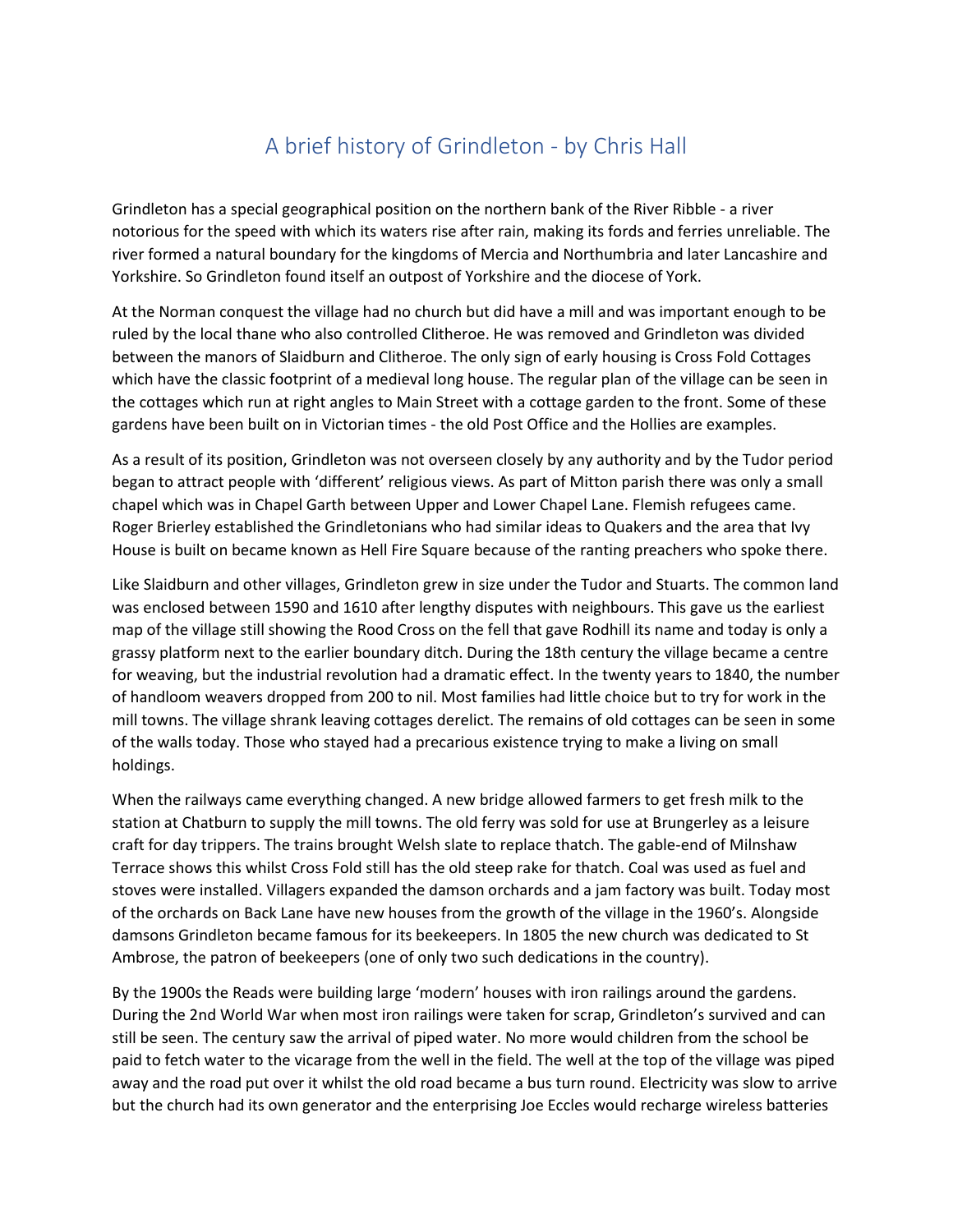## A brief history of Grindleton - by Chris Hall

Grindleton has a special geographical position on the northern bank of the River Ribble - a river notorious for the speed with which its waters rise after rain, making its fords and ferries unreliable. The river formed a natural boundary for the kingdoms of Mercia and Northumbria and later Lancashire and Yorkshire. So Grindleton found itself an outpost of Yorkshire and the diocese of York.

At the Norman conquest the village had no church but did have a mill and was important enough to be ruled by the local thane who also controlled Clitheroe. He was removed and Grindleton was divided between the manors of Slaidburn and Clitheroe. The only sign of early housing is Cross Fold Cottages which have the classic footprint of a medieval long house. The regular plan of the village can be seen in the cottages which run at right angles to Main Street with a cottage garden to the front. Some of these gardens have been built on in Victorian times - the old Post Office and the Hollies are examples.

As a result of its position, Grindleton was not overseen closely by any authority and by the Tudor period began to attract people with 'different' religious views. As part of Mitton parish there was only a small chapel which was in Chapel Garth between Upper and Lower Chapel Lane. Flemish refugees came. Roger Brierley established the Grindletonians who had similar ideas to Quakers and the area that Ivy House is built on became known as Hell Fire Square because of the ranting preachers who spoke there.

Like Slaidburn and other villages, Grindleton grew in size under the Tudor and Stuarts. The common land was enclosed between 1590 and 1610 after lengthy disputes with neighbours. This gave us the earliest map of the village still showing the Rood Cross on the fell that gave Rodhill its name and today is only a grassy platform next to the earlier boundary ditch. During the 18th century the village became a centre for weaving, but the industrial revolution had a dramatic effect. In the twenty years to 1840, the number of handloom weavers dropped from 200 to nil. Most families had little choice but to try for work in the mill towns. The village shrank leaving cottages derelict. The remains of old cottages can be seen in some of the walls today. Those who stayed had a precarious existence trying to make a living on small holdings.

When the railways came everything changed. A new bridge allowed farmers to get fresh milk to the station at Chatburn to supply the mill towns. The old ferry was sold for use at Brungerley as a leisure craft for day trippers. The trains brought Welsh slate to replace thatch. The gable-end of Milnshaw Terrace shows this whilst Cross Fold still has the old steep rake for thatch. Coal was used as fuel and stoves were installed. Villagers expanded the damson orchards and a jam factory was built. Today most of the orchards on Back Lane have new houses from the growth of the village in the 1960's. Alongside damsons Grindleton became famous for its beekeepers. In 1805 the new church was dedicated to St Ambrose, the patron of beekeepers (one of only two such dedications in the country).

By the 1900s the Reads were building large 'modern' houses with iron railings around the gardens. During the 2nd World War when most iron railings were taken for scrap, Grindleton's survived and can still be seen. The century saw the arrival of piped water. No more would children from the school be paid to fetch water to the vicarage from the well in the field. The well at the top of the village was piped away and the road put over it whilst the old road became a bus turn round. Electricity was slow to arrive but the church had its own generator and the enterprising Joe Eccles would recharge wireless batteries